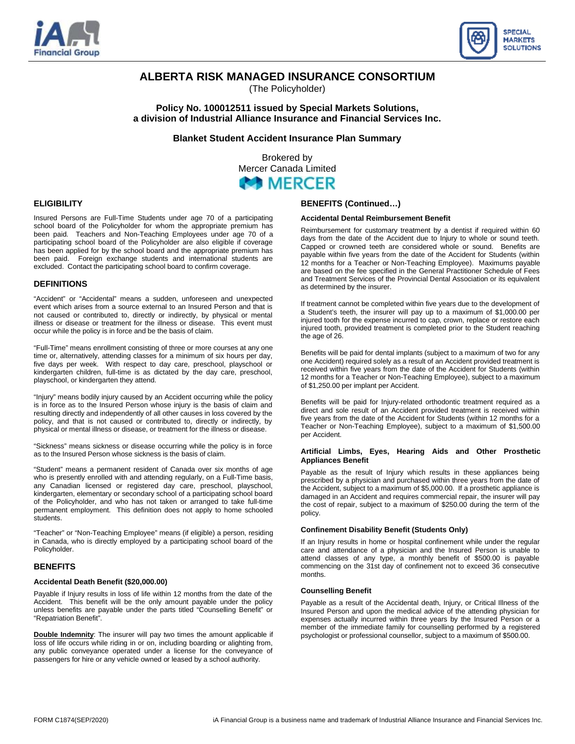



# **ALBERTA RISK MANAGED INSURANCE CONSORTIUM**

(The Policyholder)

**Policy No. 100012511 issued by Special Markets Solutions, a division of Industrial Alliance Insurance and Financial Services Inc.** 

**Blanket Student Accident Insurance Plan Summary** 

Brokered by Mercer Canada Limited

# **MERCER**

# **ELIGIBILITY**

Insured Persons are Full-Time Students under age 70 of a participating school board of the Policyholder for whom the appropriate premium has been paid. Teachers and Non-Teaching Employees under age 70 of a participating school board of the Policyholder are also eligible if coverage has been applied for by the school board and the appropriate premium has been paid. Foreign exchange students and international students are excluded. Contact the participating school board to confirm coverage.

# **DEFINITIONS**

"Accident" or "Accidental" means a sudden, unforeseen and unexpected event which arises from a source external to an Insured Person and that is not caused or contributed to, directly or indirectly, by physical or mental illness or disease or treatment for the illness or disease. This event must occur while the policy is in force and be the basis of claim.

"Full-Time" means enrollment consisting of three or more courses at any one time or, alternatively, attending classes for a minimum of six hours per day, five days per week. With respect to day care, preschool, playschool or kindergarten children, full-time is as dictated by the day care, preschool, playschool, or kindergarten they attend.

"Injury" means bodily injury caused by an Accident occurring while the policy is in force as to the Insured Person whose injury is the basis of claim and resulting directly and independently of all other causes in loss covered by the policy, and that is not caused or contributed to, directly or indirectly, by physical or mental illness or disease, or treatment for the illness or disease.

"Sickness" means sickness or disease occurring while the policy is in force as to the Insured Person whose sickness is the basis of claim.

"Student" means a permanent resident of Canada over six months of age who is presently enrolled with and attending regularly, on a Full-Time basis, any Canadian licensed or registered day care, preschool, playschool, kindergarten, elementary or secondary school of a participating school board of the Policyholder, and who has not taken or arranged to take full-time permanent employment. This definition does not apply to home schooled students.

"Teacher" or "Non-Teaching Employee" means (if eligible) a person, residing in Canada, who is directly employed by a participating school board of the Policyholder.

# **BENEFITS**

# **Accidental Death Benefit (\$20,000.00)**

Payable if Injury results in loss of life within 12 months from the date of the Accident. This benefit will be the only amount payable under the policy unless benefits are payable under the parts titled "Counselling Benefit" or "Repatriation Benefit".

**Double Indemnity**: The insurer will pay two times the amount applicable if loss of life occurs while riding in or on, including boarding or alighting from, any public conveyance operated under a license for the conveyance of passengers for hire or any vehicle owned or leased by a school authority.

# **BENEFITS (Continued…)**

#### **Accidental Dental Reimbursement Benefit**

Reimbursement for customary treatment by a dentist if required within 60 days from the date of the Accident due to Injury to whole or sound teeth. Capped or crowned teeth are considered whole or sound. Benefits are payable within five years from the date of the Accident for Students (within 12 months for a Teacher or Non-Teaching Employee). Maximums payable are based on the fee specified in the General Practitioner Schedule of Fees and Treatment Services of the Provincial Dental Association or its equivalent as determined by the insurer.

If treatment cannot be completed within five years due to the development of a Student's teeth, the insurer will pay up to a maximum of \$1,000.00 per injured tooth for the expense incurred to cap, crown, replace or restore each injured tooth, provided treatment is completed prior to the Student reaching the age of 26.

Benefits will be paid for dental implants (subject to a maximum of two for any one Accident) required solely as a result of an Accident provided treatment is received within five years from the date of the Accident for Students (within 12 months for a Teacher or Non-Teaching Employee), subject to a maximum of \$1,250.00 per implant per Accident.

Benefits will be paid for Injury-related orthodontic treatment required as a direct and sole result of an Accident provided treatment is received within five years from the date of the Accident for Students (within 12 months for a Teacher or Non-Teaching Employee), subject to a maximum of \$1,500.00 per Accident.

#### **Artificial Limbs, Eyes, Hearing Aids and Other Prosthetic Appliances Benefit**

Payable as the result of Injury which results in these appliances being prescribed by a physician and purchased within three years from the date of the Accident, subject to a maximum of \$5,000.00. If a prosthetic appliance is damaged in an Accident and requires commercial repair, the insurer will pay the cost of repair, subject to a maximum of \$250.00 during the term of the policy.

#### **Confinement Disability Benefit (Students Only)**

If an Injury results in home or hospital confinement while under the regular care and attendance of a physician and the Insured Person is unable to attend classes of any type, a monthly benefit of \$500.00 is payable commencing on the 31st day of confinement not to exceed 36 consecutive months.

#### **Counselling Benefit**

Payable as a result of the Accidental death, Injury, or Critical Illness of the Insured Person and upon the medical advice of the attending physician for expenses actually incurred within three years by the Insured Person or a member of the immediate family for counselling performed by a registered psychologist or professional counsellor, subject to a maximum of \$500.00.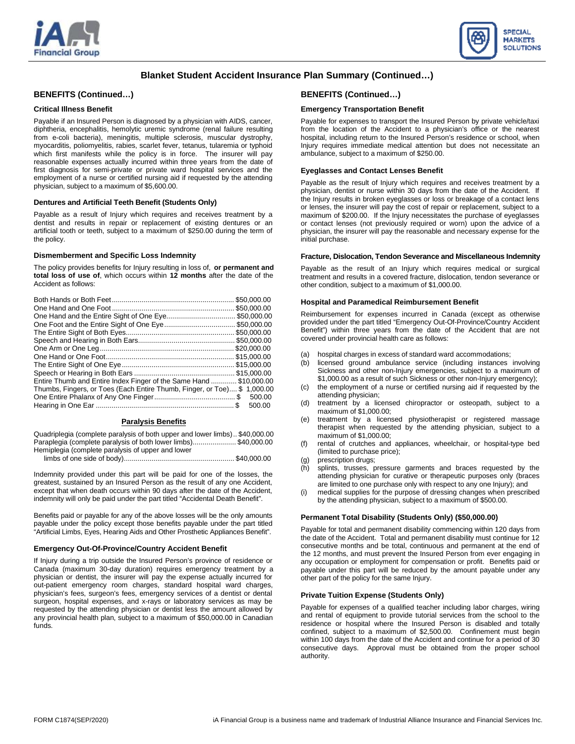



# **Blanket Student Accident Insurance Plan Summary (Continued…)**

# **BENEFITS (Continued…)**

#### **Critical Illness Benefit**

Payable if an Insured Person is diagnosed by a physician with AIDS, cancer, diphtheria, encephalitis, hemolytic uremic syndrome (renal failure resulting from e-coli bacteria), meningitis, multiple sclerosis, muscular dystrophy, myocarditis, poliomyelitis, rabies, scarlet fever, tetanus, tularemia or typhoid which first manifests while the policy is in force. The insurer will pay reasonable expenses actually incurred within three years from the date of first diagnosis for semi-private or private ward hospital services and the employment of a nurse or certified nursing aid if requested by the attending physician, subject to a maximum of \$5,600.00.

#### **Dentures and Artificial Teeth Benefit (Students Only)**

Payable as a result of Injury which requires and receives treatment by a dentist and results in repair or replacement of existing dentures or an artificial tooth or teeth, subject to a maximum of \$250.00 during the term of the policy.

#### **Dismemberment and Specific Loss Indemnity**

The policy provides benefits for Injury resulting in loss of, **or permanent and total loss of use of**, which occurs within **12 months** after the date of the Accident as follows:

|                                                                         |    | \$50,000.00 |
|-------------------------------------------------------------------------|----|-------------|
|                                                                         |    | \$50,000.00 |
| One Hand and the Entire Sight of One Eye\$50,000.00                     |    |             |
|                                                                         |    | \$50,000.00 |
|                                                                         |    | \$50,000.00 |
|                                                                         |    | \$50,000.00 |
|                                                                         |    | \$20,000.00 |
|                                                                         |    | \$15,000.00 |
|                                                                         |    |             |
|                                                                         |    |             |
| Entire Thumb and Entire Index Finger of the Same Hand \$10,000.00       |    |             |
| Thumbs, Fingers, or Toes (Each Entire Thumb, Finger, or Toe) \$1,000.00 |    |             |
|                                                                         |    |             |
|                                                                         | S. | 500.00      |

#### **Paralysis Benefits**

Quadriplegia (complete paralysis of both upper and lower limbs).. \$40,000.00 Paraplegia (complete paralysis of both lower limbs)...................... \$40,000.00 Hemiplegia (complete paralysis of upper and lower limbs of one side of body)........................................................ \$40,000.00

Indemnity provided under this part will be paid for one of the losses, the greatest, sustained by an Insured Person as the result of any one Accident, except that when death occurs within 90 days after the date of the Accident, indemnity will only be paid under the part titled "Accidental Death Benefit".

Benefits paid or payable for any of the above losses will be the only amounts payable under the policy except those benefits payable under the part titled "Artificial Limbs, Eyes, Hearing Aids and Other Prosthetic Appliances Benefit".

#### **Emergency Out-Of-Province/Country Accident Benefit**

If Injury during a trip outside the Insured Person's province of residence or Canada (maximum 30-day duration) requires emergency treatment by a physician or dentist, the insurer will pay the expense actually incurred for out-patient emergency room charges, standard hospital ward charges, physician's fees, surgeon's fees, emergency services of a dentist or dental surgeon, hospital expenses, and x-rays or laboratory services as may be requested by the attending physician or dentist less the amount allowed by any provincial health plan, subject to a maximum of \$50,000.00 in Canadian funds.

# **BENEFITS (Continued…)**

#### **Emergency Transportation Benefit**

Payable for expenses to transport the Insured Person by private vehicle/taxi from the location of the Accident to a physician's office or the nearest hospital, including return to the Insured Person's residence or school, when Injury requires immediate medical attention but does not necessitate an ambulance, subject to a maximum of \$250.00.

#### **Eyeglasses and Contact Lenses Benefit**

Payable as the result of Injury which requires and receives treatment by a physician, dentist or nurse within 30 days from the date of the Accident. If the Injury results in broken eyeglasses or loss or breakage of a contact lens or lenses, the insurer will pay the cost of repair or replacement, subject to a maximum of \$200.00. If the Injury necessitates the purchase of eyeglasses or contact lenses (not previously required or worn) upon the advice of a physician, the insurer will pay the reasonable and necessary expense for the initial purchase.

#### **Fracture, Dislocation, Tendon Severance and Miscellaneous Indemnity**

Payable as the result of an Injury which requires medical or surgical treatment and results in a covered fracture, dislocation, tendon severance or other condition, subject to a maximum of \$1,000.00.

#### **Hospital and Paramedical Reimbursement Benefit**

Reimbursement for expenses incurred in Canada (except as otherwise provided under the part titled "Emergency Out-Of-Province/Country Accident Benefit") within three years from the date of the Accident that are not covered under provincial health care as follows:

- (a) hospital charges in excess of standard ward accommodations;
- (b) licensed ground ambulance service (including instances involving Sickness and other non-Injury emergencies, subject to a maximum of \$1,000.00 as a result of such Sickness or other non-Injury emergency);
- (c) the employment of a nurse or certified nursing aid if requested by the attending physician;
- (d) treatment by a licensed chiropractor or osteopath, subject to a maximum of \$1,000.00;
- (e) treatment by a licensed physiotherapist or registered massage therapist when requested by the attending physician, subject to a maximum of \$1,000.00;
- (f) rental of crutches and appliances, wheelchair, or hospital-type bed (limited to purchase price);
- (g) prescription drugs;
- (h) splints, trusses, pressure garments and braces requested by the attending physician for curative or therapeutic purposes only (braces are limited to one purchase only with respect to any one Injury); and
- (i) medical supplies for the purpose of dressing changes when prescribed by the attending physician, subject to a maximum of \$500.00.

#### **Permanent Total Disability (Students Only) (\$50,000.00)**

Payable for total and permanent disability commencing within 120 days from the date of the Accident. Total and permanent disability must continue for 12 consecutive months and be total, continuous and permanent at the end of the 12 months, and must prevent the Insured Person from ever engaging in any occupation or employment for compensation or profit. Benefits paid or payable under this part will be reduced by the amount payable under any other part of the policy for the same Injury.

#### **Private Tuition Expense (Students Only)**

Payable for expenses of a qualified teacher including labor charges, wiring and rental of equipment to provide tutorial services from the school to the residence or hospital where the Insured Person is disabled and totally confined, subject to a maximum of \$2,500.00. Confinement must begin within 100 days from the date of the Accident and continue for a period of 30 consecutive days. Approval must be obtained from the proper school authority.